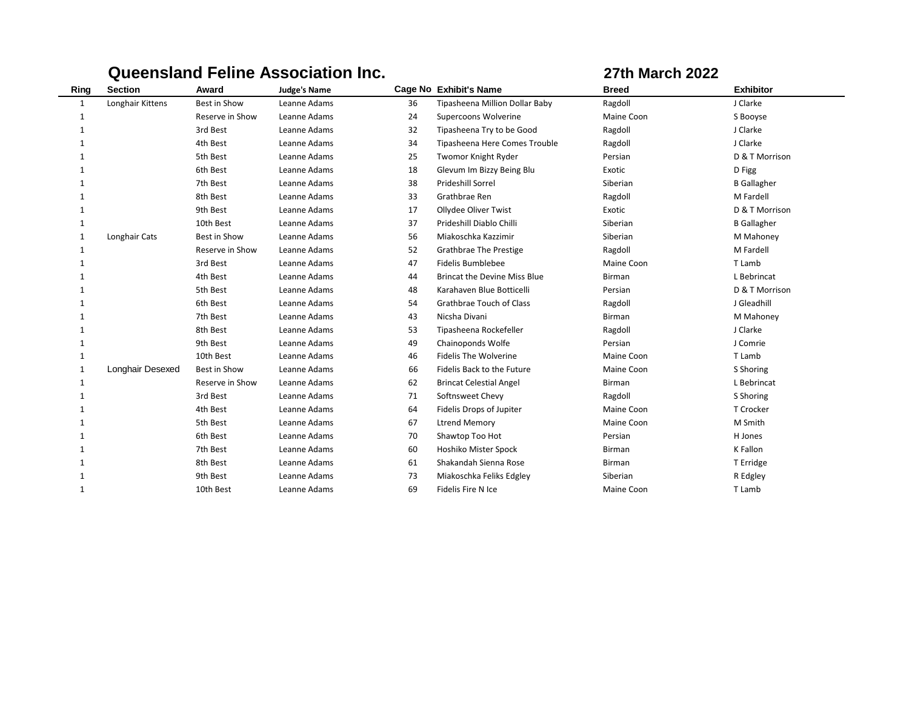|      |                  |                     | Queensland Feline Association Inc. |    | <b>27th March 2022</b>              |              |                    |
|------|------------------|---------------------|------------------------------------|----|-------------------------------------|--------------|--------------------|
| Ring | <b>Section</b>   | Award               | <b>Judge's Name</b>                |    | <b>Cage No Exhibit's Name</b>       | <b>Breed</b> | <b>Exhibitor</b>   |
| 1    | Longhair Kittens | Best in Show        | Leanne Adams                       | 36 | Tipasheena Million Dollar Baby      | Ragdoll      | J Clarke           |
| 1    |                  | Reserve in Show     | Leanne Adams                       | 24 | Supercoons Wolverine                | Maine Coon   | S Booyse           |
|      |                  | 3rd Best            | Leanne Adams                       | 32 | Tipasheena Try to be Good           | Ragdoll      | J Clarke           |
| 1    |                  | 4th Best            | Leanne Adams                       | 34 | Tipasheena Here Comes Trouble       | Ragdoll      | J Clarke           |
|      |                  | 5th Best            | Leanne Adams                       | 25 | Twomor Knight Ryder                 | Persian      | D & T Morrison     |
|      |                  | 6th Best            | Leanne Adams                       | 18 | Glevum Im Bizzy Being Blu           | Exotic       | D Figg             |
| 1    |                  | 7th Best            | Leanne Adams                       | 38 | Prideshill Sorrel                   | Siberian     | <b>B</b> Gallagher |
|      |                  | 8th Best            | Leanne Adams                       | 33 | Grathbrae Ren                       | Ragdoll      | M Fardell          |
|      |                  | 9th Best            | Leanne Adams                       | 17 | Ollydee Oliver Twist                | Exotic       | D & T Morrison     |
| 1    |                  | 10th Best           | Leanne Adams                       | 37 | Prideshill Diablo Chilli            | Siberian     | <b>B</b> Gallagher |
| 1    | Longhair Cats    | <b>Best in Show</b> | Leanne Adams                       | 56 | Miakoschka Kazzimir                 | Siberian     | M Mahoney          |
| 1    |                  | Reserve in Show     | Leanne Adams                       | 52 | <b>Grathbrae The Prestige</b>       | Ragdoll      | M Fardell          |
| 1    |                  | 3rd Best            | Leanne Adams                       | 47 | <b>Fidelis Bumblebee</b>            | Maine Coon   | T Lamb             |
|      |                  | 4th Best            | Leanne Adams                       | 44 | <b>Brincat the Devine Miss Blue</b> | Birman       | L Bebrincat        |
|      |                  | 5th Best            | Leanne Adams                       | 48 | Karahaven Blue Botticelli           | Persian      | D & T Morrison     |
| 1    |                  | 6th Best            | Leanne Adams                       | 54 | Grathbrae Touch of Class            | Ragdoll      | J Gleadhill        |
|      |                  | 7th Best            | Leanne Adams                       | 43 | Nicsha Divani                       | Birman       | M Mahoney          |
|      |                  | 8th Best            | Leanne Adams                       | 53 | Tipasheena Rockefeller              | Ragdoll      | J Clarke           |
| 1    |                  | 9th Best            | Leanne Adams                       | 49 | Chainoponds Wolfe                   | Persian      | J Comrie           |
| 1    |                  | 10th Best           | Leanne Adams                       | 46 | <b>Fidelis The Wolverine</b>        | Maine Coon   | T Lamb             |
| 1    | Longhair Desexed | Best in Show        | Leanne Adams                       | 66 | Fidelis Back to the Future          | Maine Coon   | S Shoring          |
| 1    |                  | Reserve in Show     | Leanne Adams                       | 62 | <b>Brincat Celestial Angel</b>      | Birman       | L Bebrincat        |
| 1    |                  | 3rd Best            | Leanne Adams                       | 71 | Softnsweet Chevy                    | Ragdoll      | S Shoring          |
|      |                  | 4th Best            | Leanne Adams                       | 64 | Fidelis Drops of Jupiter            | Maine Coon   | T Crocker          |
|      |                  | 5th Best            | Leanne Adams                       | 67 | <b>Ltrend Memory</b>                | Maine Coon   | M Smith            |
|      |                  | 6th Best            | Leanne Adams                       | 70 | Shawtop Too Hot                     | Persian      | H Jones            |
|      |                  | 7th Best            | Leanne Adams                       | 60 | Hoshiko Mister Spock                | Birman       | K Fallon           |
| 1    |                  | 8th Best            | Leanne Adams                       | 61 | Shakandah Sienna Rose               | Birman       | T Erridge          |
| 1    |                  | 9th Best            | Leanne Adams                       | 73 | Miakoschka Feliks Edgley            | Siberian     | R Edgley           |
| 1    |                  | 10th Best           | Leanne Adams                       | 69 | Fidelis Fire N Ice                  | Maine Coon   | T Lamb             |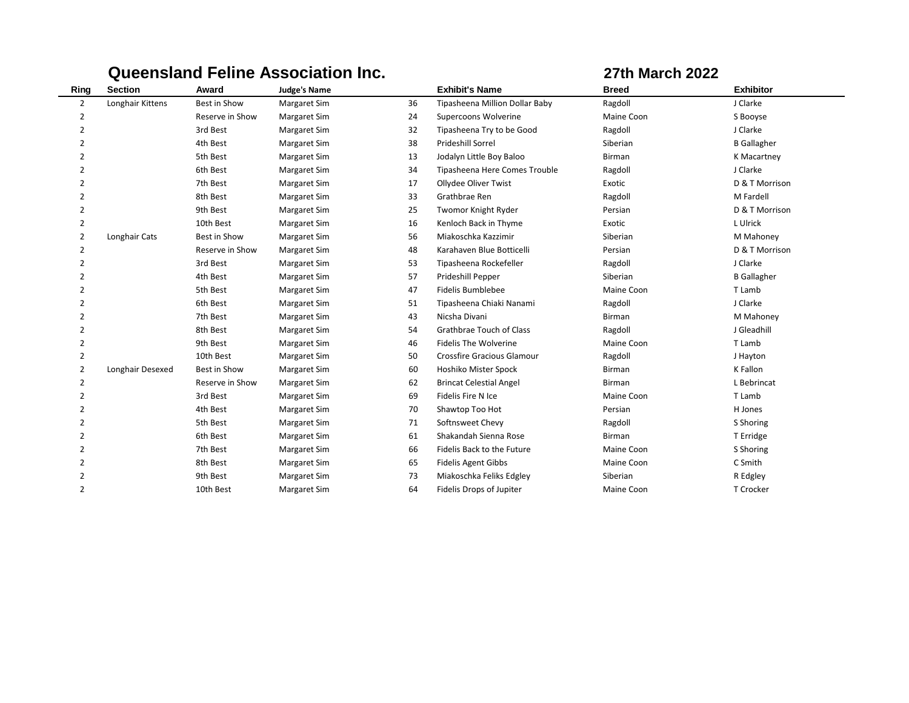|                |                  |                 | <b>Queensland Feline Association Inc.</b> |    |                                   | <b>27th March 2022</b> |                    |  |
|----------------|------------------|-----------------|-------------------------------------------|----|-----------------------------------|------------------------|--------------------|--|
| Ring           | <b>Section</b>   | Award           | <b>Judge's Name</b>                       |    | <b>Exhibit's Name</b>             | <b>Breed</b>           | <b>Exhibitor</b>   |  |
| $\overline{2}$ | Longhair Kittens | Best in Show    | Margaret Sim                              | 36 | Tipasheena Million Dollar Baby    | Ragdoll                | J Clarke           |  |
| $\overline{2}$ |                  | Reserve in Show | Margaret Sim                              | 24 | Supercoons Wolverine              | Maine Coon             | S Booyse           |  |
| $\overline{2}$ |                  | 3rd Best        | Margaret Sim                              | 32 | Tipasheena Try to be Good         | Ragdoll                | J Clarke           |  |
| 2              |                  | 4th Best        | <b>Margaret Sim</b>                       | 38 | Prideshill Sorrel                 | Siberian               | <b>B</b> Gallagher |  |
| $\overline{2}$ |                  | 5th Best        | Margaret Sim                              | 13 | Jodalyn Little Boy Baloo          | Birman                 | K Macartney        |  |
| $\overline{2}$ |                  | 6th Best        | Margaret Sim                              | 34 | Tipasheena Here Comes Trouble     | Ragdoll                | J Clarke           |  |
| $\overline{2}$ |                  | 7th Best        | Margaret Sim                              | 17 | Ollydee Oliver Twist              | Exotic                 | D & T Morrison     |  |
| $\overline{2}$ |                  | 8th Best        | Margaret Sim                              | 33 | Grathbrae Ren                     | Ragdoll                | M Fardell          |  |
| 2              |                  | 9th Best        | <b>Margaret Sim</b>                       | 25 | Twomor Knight Ryder               | Persian                | D & T Morrison     |  |
| 2              |                  | 10th Best       | Margaret Sim                              | 16 | Kenloch Back in Thyme             | Exotic                 | L Ulrick           |  |
| 2              | Longhair Cats    | Best in Show    | Margaret Sim                              | 56 | Miakoschka Kazzimir               | Siberian               | M Mahoney          |  |
| $\overline{2}$ |                  | Reserve in Show | Margaret Sim                              | 48 | Karahaven Blue Botticelli         | Persian                | D & T Morrison     |  |
| $\overline{2}$ |                  | 3rd Best        | Margaret Sim                              | 53 | Tipasheena Rockefeller            | Ragdoll                | J Clarke           |  |
| 2              |                  | 4th Best        | Margaret Sim                              | 57 | Prideshill Pepper                 | Siberian               | <b>B</b> Gallagher |  |
| $\overline{2}$ |                  | 5th Best        | Margaret Sim                              | 47 | Fidelis Bumblebee                 | Maine Coon             | T Lamb             |  |
| $\overline{2}$ |                  | 6th Best        | Margaret Sim                              | 51 | Tipasheena Chiaki Nanami          | Ragdoll                | J Clarke           |  |
| $\overline{2}$ |                  | 7th Best        | Margaret Sim                              | 43 | Nicsha Divani                     | Birman                 | M Mahoney          |  |
| $\overline{2}$ |                  | 8th Best        | Margaret Sim                              | 54 | Grathbrae Touch of Class          | Ragdoll                | J Gleadhill        |  |
| 2              |                  | 9th Best        | Margaret Sim                              | 46 | <b>Fidelis The Wolverine</b>      | Maine Coon             | T Lamb             |  |
| $\overline{2}$ |                  | 10th Best       | Margaret Sim                              | 50 | <b>Crossfire Gracious Glamour</b> | Ragdoll                | J Hayton           |  |
| $\overline{2}$ | Longhair Desexed | Best in Show    | Margaret Sim                              | 60 | Hoshiko Mister Spock              | <b>Birman</b>          | K Fallon           |  |
| 2              |                  | Reserve in Show | Margaret Sim                              | 62 | <b>Brincat Celestial Angel</b>    | <b>Birman</b>          | L Bebrincat        |  |
| $\overline{2}$ |                  | 3rd Best        | Margaret Sim                              | 69 | Fidelis Fire N Ice                | Maine Coon             | T Lamb             |  |
| $\overline{2}$ |                  | 4th Best        | Margaret Sim                              | 70 | Shawtop Too Hot                   | Persian                | H Jones            |  |
| $\overline{2}$ |                  | 5th Best        | Margaret Sim                              | 71 | Softnsweet Chevy                  | Ragdoll                | S Shoring          |  |
| $\overline{2}$ |                  | 6th Best        | Margaret Sim                              | 61 | Shakandah Sienna Rose             | Birman                 | T Erridge          |  |
| $\overline{2}$ |                  | 7th Best        | Margaret Sim                              | 66 | Fidelis Back to the Future        | Maine Coon             | S Shoring          |  |
| $\overline{2}$ |                  | 8th Best        | Margaret Sim                              | 65 | <b>Fidelis Agent Gibbs</b>        | Maine Coon             | C Smith            |  |
| $\overline{2}$ |                  | 9th Best        | Margaret Sim                              | 73 | Miakoschka Feliks Edgley          | Siberian               | R Edgley           |  |
| 2              |                  | 10th Best       | <b>Margaret Sim</b>                       | 64 | Fidelis Drops of Jupiter          | Maine Coon             | T Crocker          |  |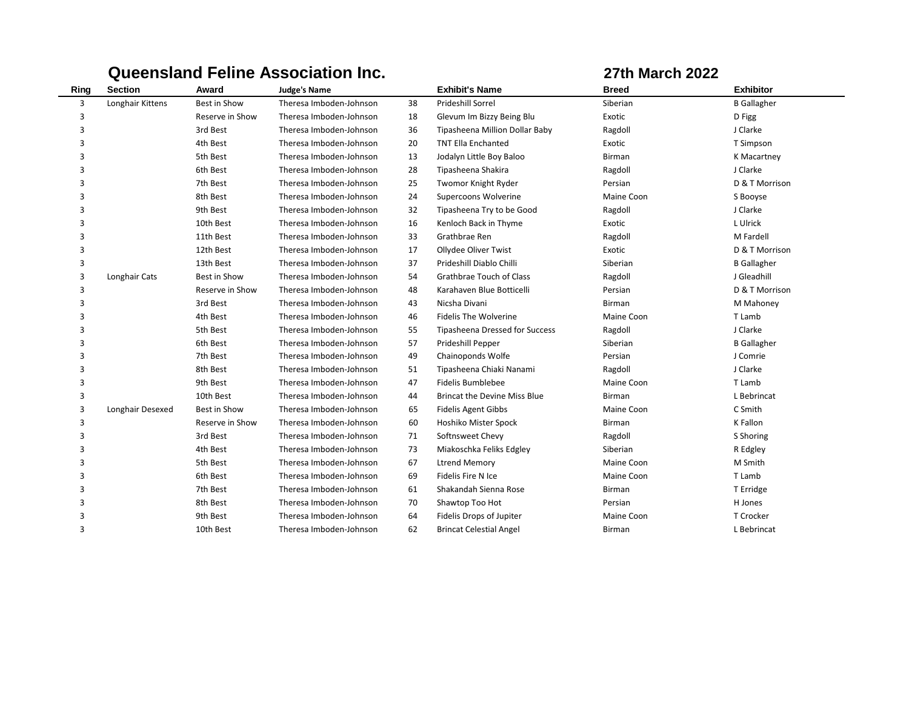|      |                  |                 | <b>Queensland Feline Association Inc.</b> |    |                                       | <b>27th March 2022</b> |                    |  |
|------|------------------|-----------------|-------------------------------------------|----|---------------------------------------|------------------------|--------------------|--|
| Ring | <b>Section</b>   | Award           | <b>Judge's Name</b>                       |    | <b>Exhibit's Name</b>                 | <b>Breed</b>           | <b>Exhibitor</b>   |  |
| 3    | Longhair Kittens | Best in Show    | Theresa Imboden-Johnson                   | 38 | <b>Prideshill Sorrel</b>              | Siberian               | <b>B</b> Gallagher |  |
| 3    |                  | Reserve in Show | Theresa Imboden-Johnson                   | 18 | Glevum Im Bizzy Being Blu             | Exotic                 | D Figg             |  |
| 3    |                  | 3rd Best        | Theresa Imboden-Johnson                   | 36 | Tipasheena Million Dollar Baby        | Ragdoll                | J Clarke           |  |
| 3    |                  | 4th Best        | Theresa Imboden-Johnson                   | 20 | <b>TNT Ella Enchanted</b>             | Exotic                 | T Simpson          |  |
| 3    |                  | 5th Best        | Theresa Imboden-Johnson                   | 13 | Jodalyn Little Boy Baloo              | Birman                 | K Macartney        |  |
| 3    |                  | 6th Best        | Theresa Imboden-Johnson                   | 28 | Tipasheena Shakira                    | Ragdoll                | J Clarke           |  |
| 3    |                  | 7th Best        | Theresa Imboden-Johnson                   | 25 | Twomor Knight Ryder                   | Persian                | D & T Morrison     |  |
| 3    |                  | 8th Best        | Theresa Imboden-Johnson                   | 24 | Supercoons Wolverine                  | Maine Coon             | S Booyse           |  |
| 3    |                  | 9th Best        | Theresa Imboden-Johnson                   | 32 | Tipasheena Try to be Good             | Ragdoll                | J Clarke           |  |
| 3    |                  | 10th Best       | Theresa Imboden-Johnson                   | 16 | Kenloch Back in Thyme                 | Exotic                 | L Ulrick           |  |
| 3    |                  | 11th Best       | Theresa Imboden-Johnson                   | 33 | Grathbrae Ren                         | Ragdoll                | M Fardell          |  |
| 3    |                  | 12th Best       | Theresa Imboden-Johnson                   | 17 | Ollydee Oliver Twist                  | Exotic                 | D & T Morrison     |  |
| 3    |                  | 13th Best       | Theresa Imboden-Johnson                   | 37 | Prideshill Diablo Chilli              | Siberian               | <b>B</b> Gallagher |  |
| 3    | Longhair Cats    | Best in Show    | Theresa Imboden-Johnson                   | 54 | Grathbrae Touch of Class              | Ragdoll                | J Gleadhill        |  |
| 3    |                  | Reserve in Show | Theresa Imboden-Johnson                   | 48 | Karahaven Blue Botticelli             | Persian                | D & T Morrison     |  |
| 3    |                  | 3rd Best        | Theresa Imboden-Johnson                   | 43 | Nicsha Divani                         | <b>Birman</b>          | M Mahoney          |  |
| 3    |                  | 4th Best        | Theresa Imboden-Johnson                   | 46 | <b>Fidelis The Wolverine</b>          | Maine Coon             | T Lamb             |  |
| 3    |                  | 5th Best        | Theresa Imboden-Johnson                   | 55 | <b>Tipasheena Dressed for Success</b> | Ragdoll                | J Clarke           |  |
| 3    |                  | 6th Best        | Theresa Imboden-Johnson                   | 57 | Prideshill Pepper                     | Siberian               | <b>B</b> Gallagher |  |
| 3    |                  | 7th Best        | Theresa Imboden-Johnson                   | 49 | Chainoponds Wolfe                     | Persian                | J Comrie           |  |
| 3    |                  | 8th Best        | Theresa Imboden-Johnson                   | 51 | Tipasheena Chiaki Nanami              | Ragdoll                | J Clarke           |  |
| 3    |                  | 9th Best        | Theresa Imboden-Johnson                   | 47 | <b>Fidelis Bumblebee</b>              | Maine Coon             | T Lamb             |  |
| 3    |                  | 10th Best       | Theresa Imboden-Johnson                   | 44 | <b>Brincat the Devine Miss Blue</b>   | Birman                 | L Bebrincat        |  |
| 3    | Longhair Desexed | Best in Show    | Theresa Imboden-Johnson                   | 65 | <b>Fidelis Agent Gibbs</b>            | Maine Coon             | C Smith            |  |
| 3    |                  | Reserve in Show | Theresa Imboden-Johnson                   | 60 | Hoshiko Mister Spock                  | Birman                 | K Fallon           |  |
| 3    |                  | 3rd Best        | Theresa Imboden-Johnson                   | 71 | Softnsweet Chevy                      | Ragdoll                | S Shoring          |  |
| 3    |                  | 4th Best        | Theresa Imboden-Johnson                   | 73 | Miakoschka Feliks Edgley              | Siberian               | R Edgley           |  |
| 3    |                  | 5th Best        | Theresa Imboden-Johnson                   | 67 | <b>Ltrend Memory</b>                  | Maine Coon             | M Smith            |  |
| 3    |                  | 6th Best        | Theresa Imboden-Johnson                   | 69 | Fidelis Fire N Ice                    | Maine Coon             | T Lamb             |  |
| 3    |                  | 7th Best        | Theresa Imboden-Johnson                   | 61 | Shakandah Sienna Rose                 | Birman                 | T Erridge          |  |
| 3    |                  | 8th Best        | Theresa Imboden-Johnson                   | 70 | Shawtop Too Hot                       | Persian                | H Jones            |  |
| 3    |                  | 9th Best        | Theresa Imboden-Johnson                   | 64 | Fidelis Drops of Jupiter              | Maine Coon             | T Crocker          |  |
| 3    |                  | 10th Best       | Theresa Imboden-Johnson                   | 62 | <b>Brincat Celestial Angel</b>        | <b>Birman</b>          | L Bebrincat        |  |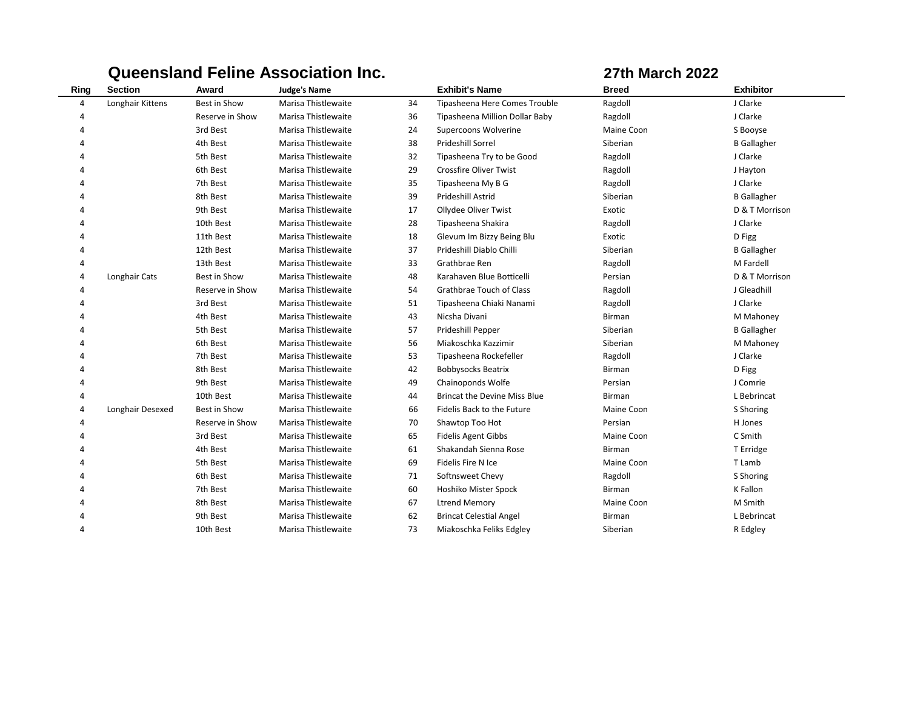|      |                  |                 | <b>Queensland Feline Association Inc.</b> |    |                                     |               | <b>27th March 2022</b> |  |  |
|------|------------------|-----------------|-------------------------------------------|----|-------------------------------------|---------------|------------------------|--|--|
| Ring | <b>Section</b>   | Award           | <b>Judge's Name</b>                       |    | <b>Exhibit's Name</b>               | <b>Breed</b>  | <b>Exhibitor</b>       |  |  |
| 4    | Longhair Kittens | Best in Show    | Marisa Thistlewaite                       | 34 | Tipasheena Here Comes Trouble       | Ragdoll       | J Clarke               |  |  |
| Δ    |                  | Reserve in Show | Marisa Thistlewaite                       | 36 | Tipasheena Million Dollar Baby      | Ragdoll       | J Clarke               |  |  |
| Δ    |                  | 3rd Best        | Marisa Thistlewaite                       | 24 | Supercoons Wolverine                | Maine Coon    | S Booyse               |  |  |
|      |                  | 4th Best        | Marisa Thistlewaite                       | 38 | <b>Prideshill Sorrel</b>            | Siberian      | <b>B</b> Gallagher     |  |  |
|      |                  | 5th Best        | Marisa Thistlewaite                       | 32 | Tipasheena Try to be Good           | Ragdoll       | J Clarke               |  |  |
|      |                  | 6th Best        | Marisa Thistlewaite                       | 29 | <b>Crossfire Oliver Twist</b>       | Ragdoll       | J Hayton               |  |  |
|      |                  | 7th Best        | Marisa Thistlewaite                       | 35 | Tipasheena My B G                   | Ragdoll       | J Clarke               |  |  |
|      |                  | 8th Best        | Marisa Thistlewaite                       | 39 | Prideshill Astrid                   | Siberian      | <b>B</b> Gallagher     |  |  |
| Δ    |                  | 9th Best        | Marisa Thistlewaite                       | 17 | Ollydee Oliver Twist                | Exotic        | D & T Morrison         |  |  |
| Δ    |                  | 10th Best       | Marisa Thistlewaite                       | 28 | Tipasheena Shakira                  | Ragdoll       | J Clarke               |  |  |
|      |                  | 11th Best       | Marisa Thistlewaite                       | 18 | Glevum Im Bizzy Being Blu           | Exotic        | D Figg                 |  |  |
| 4    |                  | 12th Best       | Marisa Thistlewaite                       | 37 | Prideshill Diablo Chilli            | Siberian      | <b>B</b> Gallagher     |  |  |
| 4    |                  | 13th Best       | Marisa Thistlewaite                       | 33 | Grathbrae Ren                       | Ragdoll       | M Fardell              |  |  |
| 4    | Longhair Cats    | Best in Show    | Marisa Thistlewaite                       | 48 | Karahaven Blue Botticelli           | Persian       | D & T Morrison         |  |  |
|      |                  | Reserve in Show | Marisa Thistlewaite                       | 54 | Grathbrae Touch of Class            | Ragdoll       | J Gleadhill            |  |  |
|      |                  | 3rd Best        | Marisa Thistlewaite                       | 51 | Tipasheena Chiaki Nanami            | Ragdoll       | J Clarke               |  |  |
|      |                  | 4th Best        | Marisa Thistlewaite                       | 43 | Nicsha Divani                       | Birman        | M Mahoney              |  |  |
| Δ    |                  | 5th Best        | Marisa Thistlewaite                       | 57 | Prideshill Pepper                   | Siberian      | <b>B</b> Gallagher     |  |  |
| Δ    |                  | 6th Best        | Marisa Thistlewaite                       | 56 | Miakoschka Kazzimir                 | Siberian      | M Mahoney              |  |  |
|      |                  | 7th Best        | Marisa Thistlewaite                       | 53 | Tipasheena Rockefeller              | Ragdoll       | J Clarke               |  |  |
| Δ    |                  | 8th Best        | Marisa Thistlewaite                       | 42 | <b>Bobbysocks Beatrix</b>           | <b>Birman</b> | D Figg                 |  |  |
| 4    |                  | 9th Best        | Marisa Thistlewaite                       | 49 | Chainoponds Wolfe                   | Persian       | J Comrie               |  |  |
| Δ    |                  | 10th Best       | Marisa Thistlewaite                       | 44 | <b>Brincat the Devine Miss Blue</b> | <b>Birman</b> | L Bebrincat            |  |  |
| 4    | Longhair Desexed | Best in Show    | Marisa Thistlewaite                       | 66 | Fidelis Back to the Future          | Maine Coon    | S Shoring              |  |  |
| 4    |                  | Reserve in Show | Marisa Thistlewaite                       | 70 | Shawtop Too Hot                     | Persian       | H Jones                |  |  |
| Δ    |                  | 3rd Best        | Marisa Thistlewaite                       | 65 | <b>Fidelis Agent Gibbs</b>          | Maine Coon    | C Smith                |  |  |
| Δ    |                  | 4th Best        | Marisa Thistlewaite                       | 61 | Shakandah Sienna Rose               | <b>Birman</b> | T Erridge              |  |  |
| Δ    |                  | 5th Best        | Marisa Thistlewaite                       | 69 | <b>Fidelis Fire N Ice</b>           | Maine Coon    | T Lamb                 |  |  |
|      |                  | 6th Best        | Marisa Thistlewaite                       | 71 | Softnsweet Chevy                    | Ragdoll       | S Shoring              |  |  |
| Δ    |                  | 7th Best        | Marisa Thistlewaite                       | 60 | Hoshiko Mister Spock                | Birman        | K Fallon               |  |  |
|      |                  | 8th Best        | Marisa Thistlewaite                       | 67 | <b>Ltrend Memory</b>                | Maine Coon    | M Smith                |  |  |
|      |                  | 9th Best        | Marisa Thistlewaite                       | 62 | <b>Brincat Celestial Angel</b>      | <b>Birman</b> | L Bebrincat            |  |  |
| Δ    |                  | 10th Best       | Marisa Thistlewaite                       | 73 | Miakoschka Feliks Edgley            | Siberian      | R Edgley               |  |  |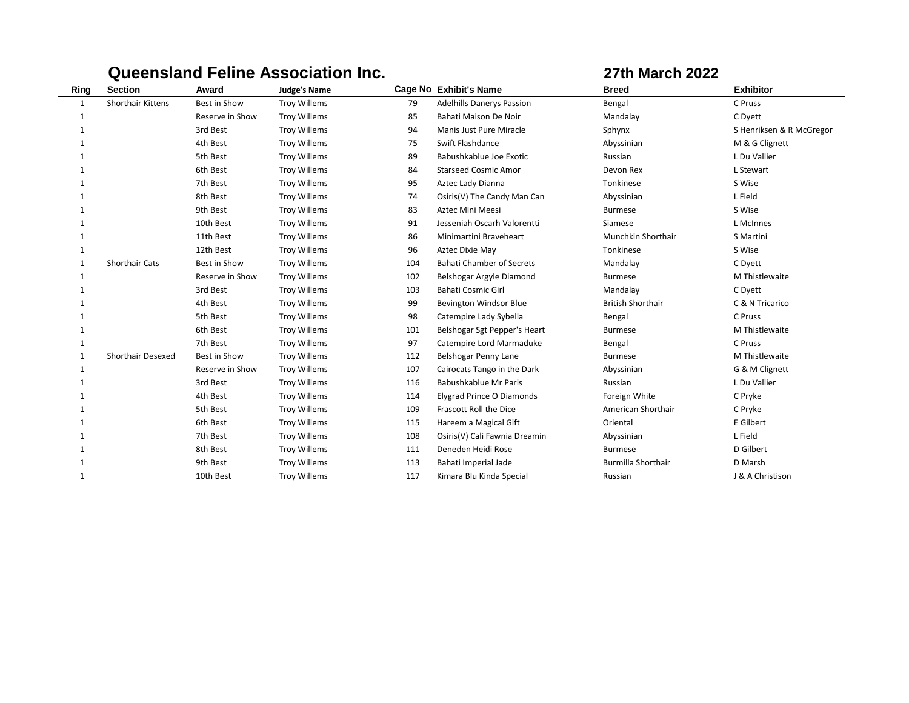|              |                          |                 | Queensiand Feime Association Inc. |     | 27th March 2022                  |                           |                          |
|--------------|--------------------------|-----------------|-----------------------------------|-----|----------------------------------|---------------------------|--------------------------|
| Ring         | <b>Section</b>           | Award           | <b>Judge's Name</b>               |     | Cage No Exhibit's Name           | <b>Breed</b>              | <b>Exhibitor</b>         |
| $\mathbf{1}$ | <b>Shorthair Kittens</b> | Best in Show    | <b>Troy Willems</b>               | 79  | <b>Adelhills Danerys Passion</b> | Bengal                    | C Pruss                  |
| 1            |                          | Reserve in Show | <b>Troy Willems</b>               | 85  | Bahati Maison De Noir            | Mandalay                  | C Dyett                  |
|              |                          | 3rd Best        | <b>Troy Willems</b>               | 94  | Manis Just Pure Miracle          | Sphynx                    | S Henriksen & R McGregor |
|              |                          | 4th Best        | <b>Troy Willems</b>               | 75  | Swift Flashdance                 | Abyssinian                | M & G Clignett           |
|              |                          | 5th Best        | <b>Troy Willems</b>               | 89  | Babushkablue Joe Exotic          | Russian                   | L Du Vallier             |
|              |                          | 6th Best        | <b>Troy Willems</b>               | 84  | <b>Starseed Cosmic Amor</b>      | Devon Rex                 | L Stewart                |
| 1            |                          | 7th Best        | <b>Troy Willems</b>               | 95  | Aztec Lady Dianna                | Tonkinese                 | S Wise                   |
|              |                          | 8th Best        | <b>Troy Willems</b>               | 74  | Osiris(V) The Candy Man Can      | Abyssinian                | L Field                  |
| 1            |                          | 9th Best        | <b>Troy Willems</b>               | 83  | <b>Aztec Mini Meesi</b>          | <b>Burmese</b>            | S Wise                   |
|              |                          | 10th Best       | <b>Troy Willems</b>               | 91  | Jesseniah Oscarh Valorentti      | Siamese                   | L McInnes                |
| 1            |                          | 11th Best       | <b>Troy Willems</b>               | 86  | Minimartini Braveheart           | Munchkin Shorthair        | S Martini                |
| 1            |                          | 12th Best       | <b>Troy Willems</b>               | 96  | Aztec Dixie May                  | Tonkinese                 | S Wise                   |
| 1            | Shorthair Cats           | Best in Show    | <b>Troy Willems</b>               | 104 | <b>Bahati Chamber of Secrets</b> | Mandalay                  | C Dyett                  |
| 1            |                          | Reserve in Show | <b>Troy Willems</b>               | 102 | Belshogar Argyle Diamond         | <b>Burmese</b>            | M Thistlewaite           |
| 1            |                          | 3rd Best        | <b>Troy Willems</b>               | 103 | Bahati Cosmic Girl               | Mandalay                  | C Dyett                  |
| 1            |                          | 4th Best        | <b>Troy Willems</b>               | 99  | Bevington Windsor Blue           | <b>British Shorthair</b>  | C & N Tricarico          |
| 1            |                          | 5th Best        | <b>Troy Willems</b>               | 98  | Catempire Lady Sybella           | Bengal                    | C Pruss                  |
| 1            |                          | 6th Best        | <b>Troy Willems</b>               | 101 | Belshogar Sgt Pepper's Heart     | <b>Burmese</b>            | M Thistlewaite           |
| 1            |                          | 7th Best        | <b>Troy Willems</b>               | 97  | Catempire Lord Marmaduke         | Bengal                    | C Pruss                  |
| 1            | <b>Shorthair Desexed</b> | Best in Show    | <b>Troy Willems</b>               | 112 | Belshogar Penny Lane             | <b>Burmese</b>            | M Thistlewaite           |
| 1            |                          | Reserve in Show | <b>Troy Willems</b>               | 107 | Cairocats Tango in the Dark      | Abyssinian                | G & M Clignett           |
| 1            |                          | 3rd Best        | <b>Troy Willems</b>               | 116 | Babushkablue Mr Paris            | Russian                   | L Du Vallier             |
|              |                          | 4th Best        | <b>Troy Willems</b>               | 114 | Elygrad Prince O Diamonds        | Foreign White             | C Pryke                  |
|              |                          | 5th Best        | <b>Troy Willems</b>               | 109 | Frascott Roll the Dice           | American Shorthair        | C Pryke                  |
| 1            |                          | 6th Best        | <b>Troy Willems</b>               | 115 | Hareem a Magical Gift            | Oriental                  | E Gilbert                |
| 1            |                          | 7th Best        | <b>Troy Willems</b>               | 108 | Osiris(V) Cali Fawnia Dreamin    | Abyssinian                | L Field                  |
|              |                          | 8th Best        | <b>Troy Willems</b>               | 111 | Deneden Heidi Rose               | <b>Burmese</b>            | D Gilbert                |
|              |                          | 9th Best        | <b>Troy Willems</b>               | 113 | Bahati Imperial Jade             | <b>Burmilla Shorthair</b> | D Marsh                  |
| 1            |                          | 10th Best       | <b>Troy Willems</b>               | 117 | Kimara Blu Kinda Special         | Russian                   | J & A Christison         |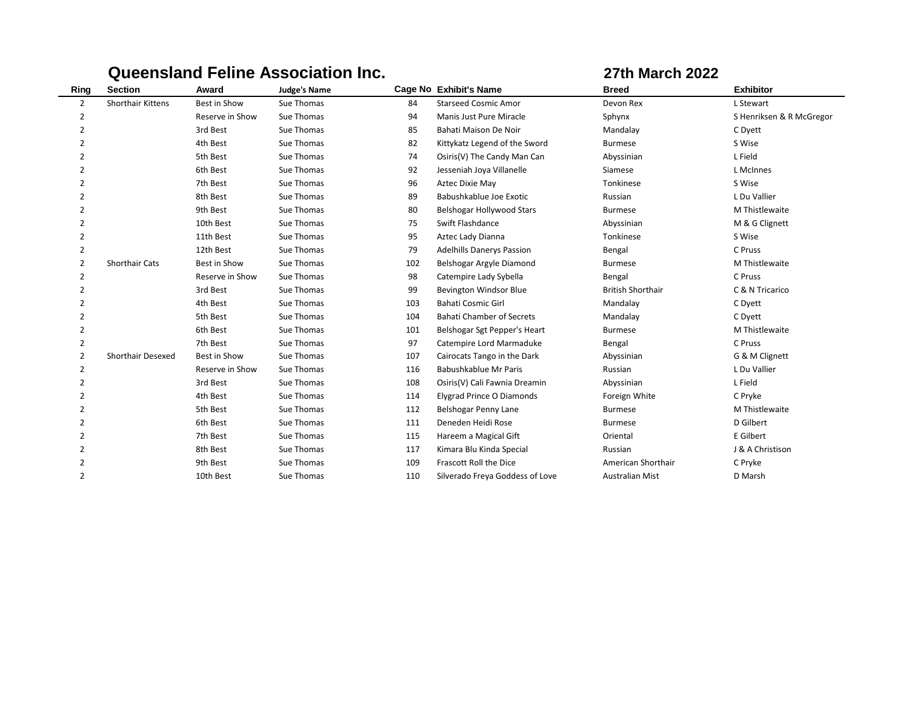|                |                          |                 | <b>Queensland Feline Association Inc.</b> |     |                                  | <b>27th March 2022</b>   |                          |
|----------------|--------------------------|-----------------|-------------------------------------------|-----|----------------------------------|--------------------------|--------------------------|
| Ring           | <b>Section</b>           | Award           | <b>Judge's Name</b>                       |     | <b>Cage No Exhibit's Name</b>    | <b>Breed</b>             | <b>Exhibitor</b>         |
| $\overline{2}$ | <b>Shorthair Kittens</b> | Best in Show    | Sue Thomas                                | 84  | <b>Starseed Cosmic Amor</b>      | Devon Rex                | L Stewart                |
| $\overline{2}$ |                          | Reserve in Show | Sue Thomas                                | 94  | Manis Just Pure Miracle          | Sphynx                   | S Henriksen & R McGregor |
| $\overline{2}$ |                          | 3rd Best        | Sue Thomas                                | 85  | Bahati Maison De Noir            | Mandalay                 | C Dyett                  |
| $\overline{2}$ |                          | 4th Best        | Sue Thomas                                | 82  | Kittykatz Legend of the Sword    | <b>Burmese</b>           | S Wise                   |
| $\overline{2}$ |                          | 5th Best        | Sue Thomas                                | 74  | Osiris(V) The Candy Man Can      | Abyssinian               | L Field                  |
| $\overline{2}$ |                          | 6th Best        | Sue Thomas                                | 92  | Jesseniah Joya Villanelle        | Siamese                  | L McInnes                |
| $\overline{2}$ |                          | 7th Best        | Sue Thomas                                | 96  | Aztec Dixie May                  | Tonkinese                | S Wise                   |
| $\overline{2}$ |                          | 8th Best        | Sue Thomas                                | 89  | Babushkablue Joe Exotic          | Russian                  | L Du Vallier             |
| $\overline{2}$ |                          | 9th Best        | Sue Thomas                                | 80  | Belshogar Hollywood Stars        | <b>Burmese</b>           | M Thistlewaite           |
| $\overline{2}$ |                          | 10th Best       | Sue Thomas                                | 75  | Swift Flashdance                 | Abyssinian               | M & G Clignett           |
| 2              |                          | 11th Best       | Sue Thomas                                | 95  | Aztec Lady Dianna                | Tonkinese                | S Wise                   |
| 2              |                          | 12th Best       | Sue Thomas                                | 79  | <b>Adelhills Danerys Passion</b> | Bengal                   | C Pruss                  |
| $\overline{2}$ | <b>Shorthair Cats</b>    | Best in Show    | Sue Thomas                                | 102 | Belshogar Argyle Diamond         | <b>Burmese</b>           | M Thistlewaite           |
| 2              |                          | Reserve in Show | Sue Thomas                                | 98  | Catempire Lady Sybella           | Bengal                   | C Pruss                  |
| $\overline{2}$ |                          | 3rd Best        | Sue Thomas                                | 99  | <b>Bevington Windsor Blue</b>    | <b>British Shorthair</b> | C & N Tricarico          |
| $\overline{2}$ |                          | 4th Best        | Sue Thomas                                | 103 | <b>Bahati Cosmic Girl</b>        | Mandalay                 | C Dyett                  |
| $\overline{2}$ |                          | 5th Best        | Sue Thomas                                | 104 | <b>Bahati Chamber of Secrets</b> | Mandalay                 | C Dyett                  |
| $\overline{2}$ |                          | 6th Best        | Sue Thomas                                | 101 | Belshogar Sgt Pepper's Heart     | <b>Burmese</b>           | M Thistlewaite           |
| $\overline{2}$ |                          | 7th Best        | Sue Thomas                                | 97  | Catempire Lord Marmaduke         | Bengal                   | C Pruss                  |
| $\overline{2}$ | <b>Shorthair Desexed</b> | Best in Show    | Sue Thomas                                | 107 | Cairocats Tango in the Dark      | Abyssinian               | G & M Clignett           |
| $\overline{2}$ |                          | Reserve in Show | Sue Thomas                                | 116 | Babushkablue Mr Paris            | Russian                  | L Du Vallier             |
| $\overline{2}$ |                          | 3rd Best        | Sue Thomas                                | 108 | Osiris(V) Cali Fawnia Dreamin    | Abyssinian               | L Field                  |
| $\mathcal{P}$  |                          | 4th Best        | Sue Thomas                                | 114 | <b>Elygrad Prince O Diamonds</b> | Foreign White            | C Pryke                  |
| $\overline{2}$ |                          | 5th Best        | Sue Thomas                                | 112 | Belshogar Penny Lane             | <b>Burmese</b>           | M Thistlewaite           |
| $\overline{2}$ |                          | 6th Best        | Sue Thomas                                | 111 | Deneden Heidi Rose               | <b>Burmese</b>           | D Gilbert                |
| $\overline{2}$ |                          | 7th Best        | Sue Thomas                                | 115 | Hareem a Magical Gift            | Oriental                 | E Gilbert                |
| $\overline{2}$ |                          | 8th Best        | Sue Thomas                                | 117 | Kimara Blu Kinda Special         | Russian                  | J & A Christison         |
| $\overline{2}$ |                          | 9th Best        | Sue Thomas                                | 109 | Frascott Roll the Dice           | American Shorthair       | C Pryke                  |
| $\overline{2}$ |                          | 10th Best       | Sue Thomas                                | 110 | Silverado Freya Goddess of Love  | <b>Australian Mist</b>   | D Marsh                  |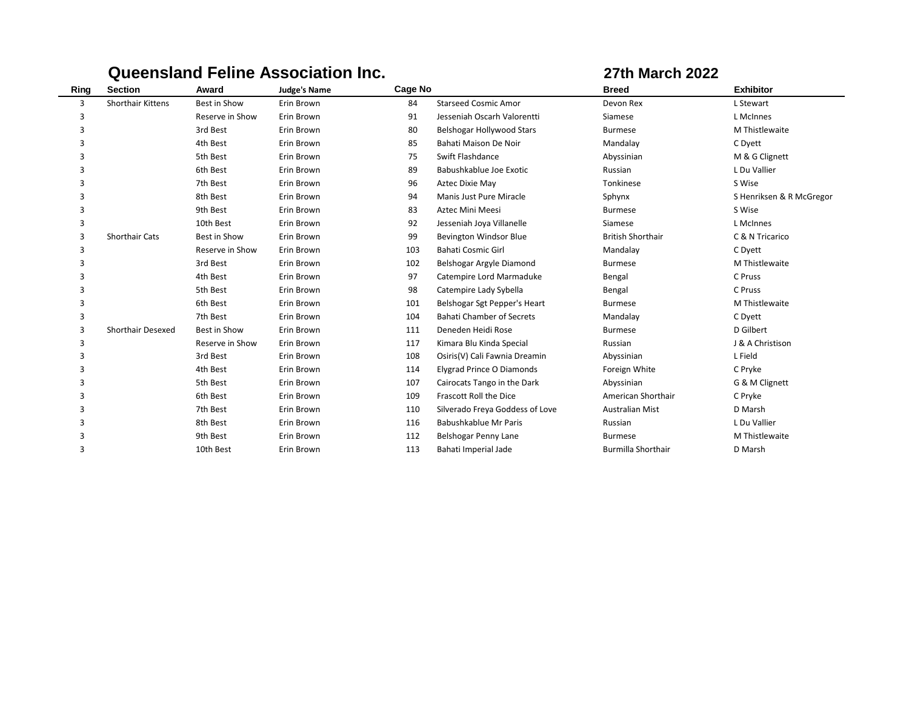| Ring | <b>Section</b>           | Award           | <b>Judge's Name</b> | <b>Cage No</b> |                                  | <b>Breed</b>              | <b>Exhibitor</b>         |
|------|--------------------------|-----------------|---------------------|----------------|----------------------------------|---------------------------|--------------------------|
| 3    | Shorthair Kittens        | Best in Show    | Erin Brown          | 84             | <b>Starseed Cosmic Amor</b>      | Devon Rex                 | L Stewart                |
| 3    |                          | Reserve in Show | Erin Brown          | 91             | Jesseniah Oscarh Valorentti      | Siamese                   | L McInnes                |
| 3    |                          | 3rd Best        | Erin Brown          | 80             | Belshogar Hollywood Stars        | <b>Burmese</b>            | M Thistlewaite           |
| 3    |                          | 4th Best        | Erin Brown          | 85             | Bahati Maison De Noir            | Mandalay                  | C Dyett                  |
| 3    |                          | 5th Best        | Erin Brown          | 75             | Swift Flashdance                 | Abyssinian                | M & G Clignett           |
| 3    |                          | 6th Best        | Erin Brown          | 89             | Babushkablue Joe Exotic          | Russian                   | L Du Vallier             |
| 3    |                          | 7th Best        | Erin Brown          | 96             | Aztec Dixie May                  | Tonkinese                 | S Wise                   |
| 3    |                          | 8th Best        | Erin Brown          | 94             | Manis Just Pure Miracle          | Sphynx                    | S Henriksen & R McGregor |
| 3    |                          | 9th Best        | Erin Brown          | 83             | Aztec Mini Meesi                 | <b>Burmese</b>            | S Wise                   |
| 3    |                          | 10th Best       | Erin Brown          | 92             | Jesseniah Joya Villanelle        | Siamese                   | L McInnes                |
| 3    | <b>Shorthair Cats</b>    | Best in Show    | Erin Brown          | 99             | <b>Bevington Windsor Blue</b>    | <b>British Shorthair</b>  | C & N Tricarico          |
| 3    |                          | Reserve in Show | Erin Brown          | 103            | <b>Bahati Cosmic Girl</b>        | Mandalay                  | C Dyett                  |
| 3    |                          | 3rd Best        | Erin Brown          | 102            | Belshogar Argyle Diamond         | <b>Burmese</b>            | M Thistlewaite           |
| 3    |                          | 4th Best        | Erin Brown          | 97             | Catempire Lord Marmaduke         | Bengal                    | C Pruss                  |
| 3    |                          | 5th Best        | Erin Brown          | 98             | Catempire Lady Sybella           | Bengal                    | C Pruss                  |
| 3    |                          | 6th Best        | Erin Brown          | 101            | Belshogar Sgt Pepper's Heart     | <b>Burmese</b>            | M Thistlewaite           |
| 3    |                          | 7th Best        | Erin Brown          | 104            | <b>Bahati Chamber of Secrets</b> | Mandalay                  | C Dyett                  |
| 3    | <b>Shorthair Desexed</b> | Best in Show    | Erin Brown          | 111            | Deneden Heidi Rose               | <b>Burmese</b>            | D Gilbert                |
| 3    |                          | Reserve in Show | Erin Brown          | 117            | Kimara Blu Kinda Special         | Russian                   | J & A Christison         |
| 3    |                          | 3rd Best        | Erin Brown          | 108            | Osiris(V) Cali Fawnia Dreamin    | Abyssinian                | L Field                  |
| 3    |                          | 4th Best        | Erin Brown          | 114            | Elygrad Prince O Diamonds        | Foreign White             | C Pryke                  |
| 3    |                          | 5th Best        | Erin Brown          | 107            | Cairocats Tango in the Dark      | Abyssinian                | G & M Clignett           |
| 3    |                          | 6th Best        | Erin Brown          | 109            | Frascott Roll the Dice           | American Shorthair        | C Pryke                  |
| 3    |                          | 7th Best        | Erin Brown          | 110            | Silverado Freya Goddess of Love  | <b>Australian Mist</b>    | D Marsh                  |
| 3    |                          | 8th Best        | Erin Brown          | 116            | Babushkablue Mr Paris            | Russian                   | L Du Vallier             |
| 3    |                          | 9th Best        | Erin Brown          | 112            | Belshogar Penny Lane             | <b>Burmese</b>            | M Thistlewaite           |
| 3    |                          | 10th Best       | Erin Brown          | 113            | Bahati Imperial Jade             | <b>Burmilla Shorthair</b> | D Marsh                  |
|      |                          |                 |                     |                |                                  |                           |                          |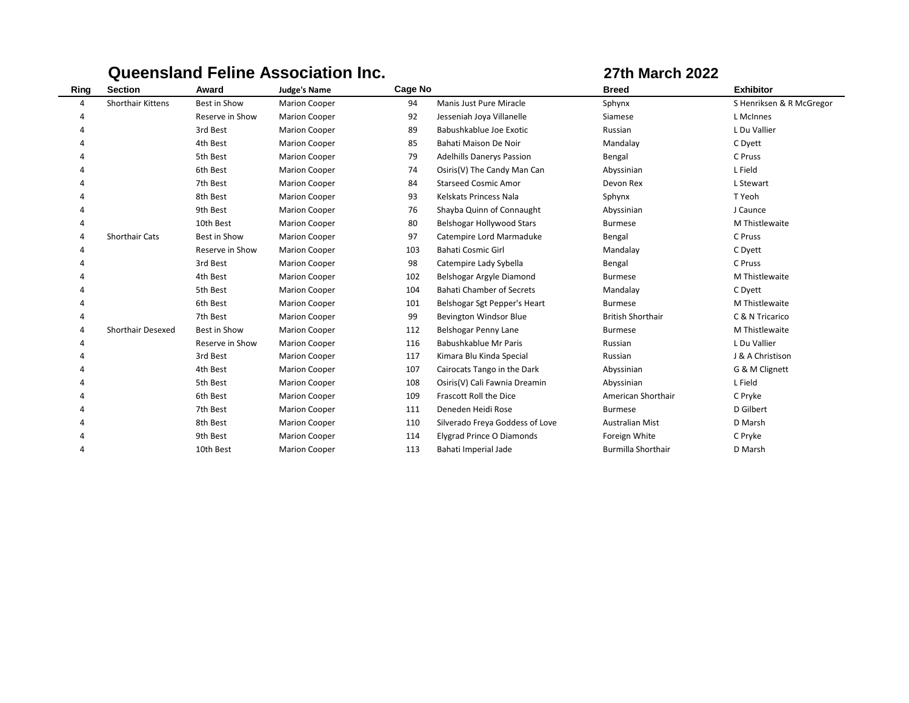| Ring | <b>Section</b>           | Award           | <b>Judge's Name</b>  | Cage No |                                  | <b>Breed</b>              | <b>Exhibitor</b>         |
|------|--------------------------|-----------------|----------------------|---------|----------------------------------|---------------------------|--------------------------|
| 4    | <b>Shorthair Kittens</b> | Best in Show    | <b>Marion Cooper</b> | 94      | Manis Just Pure Miracle          | Sphynx                    | S Henriksen & R McGregor |
| 4    |                          | Reserve in Show | <b>Marion Cooper</b> | 92      | Jesseniah Joya Villanelle        | Siamese                   | L McInnes                |
| 4    |                          | 3rd Best        | <b>Marion Cooper</b> | 89      | Babushkablue Joe Exotic          | Russian                   | L Du Vallier             |
|      |                          | 4th Best        | <b>Marion Cooper</b> | 85      | Bahati Maison De Noir            | Mandalay                  | C Dyett                  |
|      |                          | 5th Best        | <b>Marion Cooper</b> | 79      | <b>Adelhills Danerys Passion</b> | Bengal                    | C Pruss                  |
| 4    |                          | 6th Best        | <b>Marion Cooper</b> | 74      | Osiris(V) The Candy Man Can      | Abyssinian                | L Field                  |
|      |                          | 7th Best        | <b>Marion Cooper</b> | 84      | <b>Starseed Cosmic Amor</b>      | Devon Rex                 | L Stewart                |
|      |                          | 8th Best        | <b>Marion Cooper</b> | 93      | Kelskats Princess Nala           | Sphynx                    | T Yeoh                   |
| 4    |                          | 9th Best        | <b>Marion Cooper</b> | 76      | Shayba Quinn of Connaught        | Abyssinian                | J Caunce                 |
| Δ    |                          | 10th Best       | <b>Marion Cooper</b> | 80      | Belshogar Hollywood Stars        | <b>Burmese</b>            | M Thistlewaite           |
| 4    | <b>Shorthair Cats</b>    | Best in Show    | <b>Marion Cooper</b> | 97      | Catempire Lord Marmaduke         | Bengal                    | C Pruss                  |
| 4    |                          | Reserve in Show | <b>Marion Cooper</b> | 103     | <b>Bahati Cosmic Girl</b>        | Mandalay                  | C Dyett                  |
|      |                          | 3rd Best        | <b>Marion Cooper</b> | 98      | Catempire Lady Sybella           | Bengal                    | C Pruss                  |
|      |                          | 4th Best        | <b>Marion Cooper</b> | 102     | Belshogar Argyle Diamond         | <b>Burmese</b>            | M Thistlewaite           |
| 4    |                          | 5th Best        | <b>Marion Cooper</b> | 104     | <b>Bahati Chamber of Secrets</b> | Mandalay                  | C Dyett                  |
|      |                          | 6th Best        | <b>Marion Cooper</b> | 101     | Belshogar Sgt Pepper's Heart     | <b>Burmese</b>            | M Thistlewaite           |
|      |                          | 7th Best        | <b>Marion Cooper</b> | 99      | <b>Bevington Windsor Blue</b>    | <b>British Shorthair</b>  | C & N Tricarico          |
| 4    | <b>Shorthair Desexed</b> | Best in Show    | <b>Marion Cooper</b> | 112     | Belshogar Penny Lane             | <b>Burmese</b>            | M Thistlewaite           |
|      |                          | Reserve in Show | <b>Marion Cooper</b> | 116     | Babushkablue Mr Paris            | Russian                   | L Du Vallier             |
|      |                          | 3rd Best        | <b>Marion Cooper</b> | 117     | Kimara Blu Kinda Special         | Russian                   | J & A Christison         |
|      |                          | 4th Best        | <b>Marion Cooper</b> | 107     | Cairocats Tango in the Dark      | Abyssinian                | G & M Clignett           |
|      |                          | 5th Best        | <b>Marion Cooper</b> | 108     | Osiris(V) Cali Fawnia Dreamin    | Abyssinian                | L Field                  |
|      |                          | 6th Best        | <b>Marion Cooper</b> | 109     | Frascott Roll the Dice           | American Shorthair        | C Pryke                  |
| 4    |                          | 7th Best        | <b>Marion Cooper</b> | 111     | Deneden Heidi Rose               | <b>Burmese</b>            | D Gilbert                |
|      |                          | 8th Best        | <b>Marion Cooper</b> | 110     | Silverado Freya Goddess of Love  | <b>Australian Mist</b>    | D Marsh                  |
|      |                          | 9th Best        | <b>Marion Cooper</b> | 114     | Elygrad Prince O Diamonds        | Foreign White             | C Pryke                  |
| 4    |                          | 10th Best       | <b>Marion Cooper</b> | 113     | Bahati Imperial Jade             | <b>Burmilla Shorthair</b> | D Marsh                  |
|      |                          |                 |                      |         |                                  |                           |                          |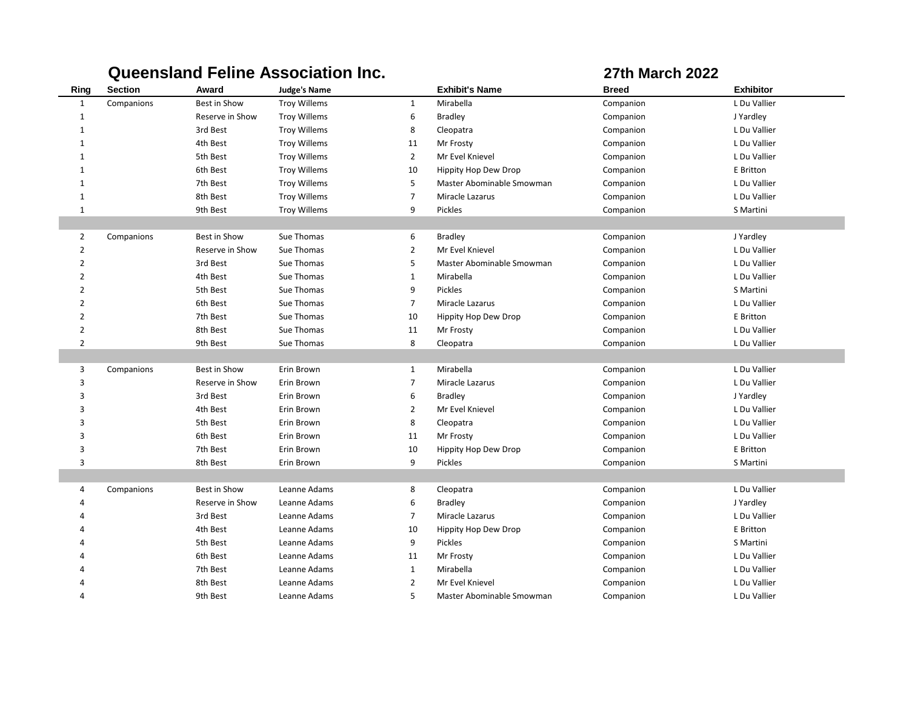|                | wuccupuun l<br><b>GILLE WOODLATION INTO</b> |                 |                     |                | UL MAIVIL EVEL            |              |                  |  |
|----------------|---------------------------------------------|-----------------|---------------------|----------------|---------------------------|--------------|------------------|--|
| Ring           | <b>Section</b>                              | Award           | <b>Judge's Name</b> |                | <b>Exhibit's Name</b>     | <b>Breed</b> | <b>Exhibitor</b> |  |
| $\mathbf{1}$   | Companions                                  | Best in Show    | <b>Troy Willems</b> | $\mathbf{1}$   | Mirabella                 | Companion    | L Du Vallier     |  |
| $\mathbf 1$    |                                             | Reserve in Show | <b>Troy Willems</b> | 6              | <b>Bradley</b>            | Companion    | J Yardley        |  |
| $1\,$          |                                             | 3rd Best        | <b>Troy Willems</b> | 8              | Cleopatra                 | Companion    | L Du Vallier     |  |
| $1\,$          |                                             | 4th Best        | <b>Troy Willems</b> | 11             | Mr Frosty                 | Companion    | L Du Vallier     |  |
| $1\,$          |                                             | 5th Best        | <b>Troy Willems</b> | $\overline{2}$ | Mr Evel Knievel           | Companion    | L Du Vallier     |  |
| $\mathbf{1}$   |                                             | 6th Best        | <b>Troy Willems</b> | 10             | Hippity Hop Dew Drop      | Companion    | E Britton        |  |
| $\mathbf{1}$   |                                             | 7th Best        | <b>Troy Willems</b> | 5              | Master Abominable Smowman | Companion    | L Du Vallier     |  |
| $\mathbf{1}$   |                                             | 8th Best        | <b>Troy Willems</b> | $\overline{7}$ | Miracle Lazarus           | Companion    | L Du Vallier     |  |
| $\mathbf{1}$   |                                             | 9th Best        | <b>Troy Willems</b> | 9              | Pickles                   | Companion    | S Martini        |  |
|                |                                             |                 |                     |                |                           |              |                  |  |
| $\overline{2}$ | Companions                                  | Best in Show    | Sue Thomas          | 6              | <b>Bradley</b>            | Companion    | J Yardley        |  |
| $\overline{2}$ |                                             | Reserve in Show | Sue Thomas          | $\overline{2}$ | Mr Evel Knievel           | Companion    | L Du Vallier     |  |
| $\overline{2}$ |                                             | 3rd Best        | Sue Thomas          | 5              | Master Abominable Smowman | Companion    | L Du Vallier     |  |
| $\overline{2}$ |                                             | 4th Best        | Sue Thomas          | $\mathbf{1}$   | Mirabella                 | Companion    | L Du Vallier     |  |
| $\overline{2}$ |                                             | 5th Best        | Sue Thomas          | 9              | Pickles                   | Companion    | S Martini        |  |
| $\overline{2}$ |                                             | 6th Best        | Sue Thomas          | $\overline{7}$ | Miracle Lazarus           | Companion    | L Du Vallier     |  |
| $\overline{2}$ |                                             | 7th Best        | Sue Thomas          | 10             | Hippity Hop Dew Drop      | Companion    | E Britton        |  |
| $\overline{2}$ |                                             | 8th Best        | Sue Thomas          | 11             | Mr Frosty                 | Companion    | L Du Vallier     |  |
| $\overline{2}$ |                                             | 9th Best        | Sue Thomas          | 8              | Cleopatra                 | Companion    | L Du Vallier     |  |
|                |                                             |                 |                     |                |                           |              |                  |  |
| 3              | Companions                                  | Best in Show    | Erin Brown          | $\mathbf{1}$   | Mirabella                 | Companion    | L Du Vallier     |  |
| 3              |                                             | Reserve in Show | Erin Brown          | $\overline{7}$ | Miracle Lazarus           | Companion    | L Du Vallier     |  |
| 3              |                                             | 3rd Best        | Erin Brown          | 6              | <b>Bradley</b>            | Companion    | J Yardley        |  |
| 3              |                                             | 4th Best        | Erin Brown          | $\overline{2}$ | Mr Evel Knievel           | Companion    | L Du Vallier     |  |
| 3              |                                             | 5th Best        | Erin Brown          | 8              | Cleopatra                 | Companion    | L Du Vallier     |  |
| 3              |                                             | 6th Best        | Erin Brown          | 11             | Mr Frosty                 | Companion    | L Du Vallier     |  |
| 3              |                                             | 7th Best        | Erin Brown          | 10             | Hippity Hop Dew Drop      | Companion    | E Britton        |  |
| 3              |                                             | 8th Best        | Erin Brown          | 9              | Pickles                   | Companion    | S Martini        |  |
|                |                                             |                 |                     |                |                           |              |                  |  |
| 4              | Companions                                  | Best in Show    | Leanne Adams        | 8              | Cleopatra                 | Companion    | L Du Vallier     |  |
| $\overline{4}$ |                                             | Reserve in Show | Leanne Adams        | 6              | <b>Bradley</b>            | Companion    | J Yardley        |  |
| $\overline{4}$ |                                             | 3rd Best        | Leanne Adams        | $\overline{7}$ | Miracle Lazarus           | Companion    | L Du Vallier     |  |
| $\Delta$       |                                             | 4th Best        | Leanne Adams        | 10             | Hippity Hop Dew Drop      | Companion    | E Britton        |  |
|                |                                             | 5th Best        | Leanne Adams        | 9              | Pickles                   | Companion    | S Martini        |  |
|                |                                             | 6th Best        | Leanne Adams        | 11             | Mr Frosty                 | Companion    | L Du Vallier     |  |
|                |                                             | 7th Best        | Leanne Adams        | $\mathbf{1}$   | Mirabella                 | Companion    | L Du Vallier     |  |
|                |                                             | 8th Best        | Leanne Adams        | $\overline{2}$ | Mr Evel Knievel           | Companion    | L Du Vallier     |  |
| $\overline{a}$ |                                             | 9th Best        | Leanne Adams        | 5              | Master Abominable Smowman | Companion    | L Du Vallier     |  |